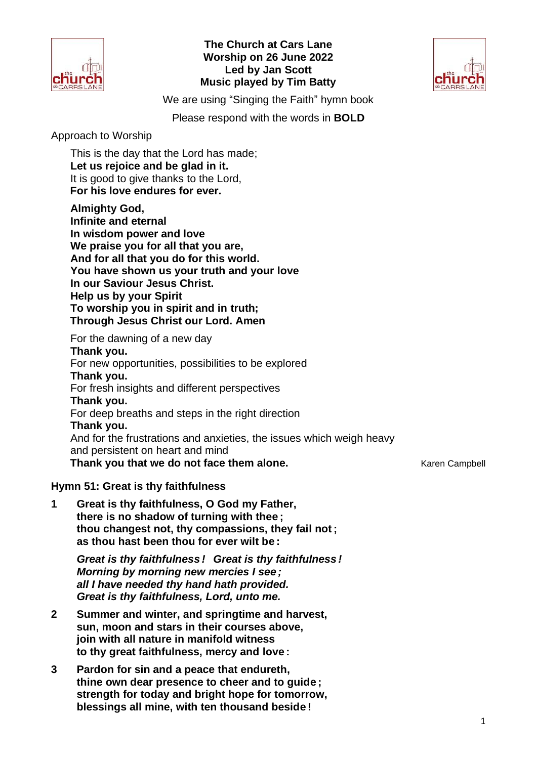

## **The Church at Cars Lane Worship on 26 June 2022 Led by Jan Scott Music played by Tim Batty**



We are using "Singing the Faith" hymn book

Please respond with the words in **BOLD**

Approach to Worship

This is the day that the Lord has made; **Let us rejoice and be glad in it.** It is good to give thanks to the Lord, **For his love endures for ever.**

**Almighty God,**

**Infinite and eternal In wisdom power and love We praise you for all that you are, And for all that you do for this world. You have shown us your truth and your love In our Saviour Jesus Christ. Help us by your Spirit To worship you in spirit and in truth; Through Jesus Christ our Lord. Amen**

For the dawning of a new day **Thank you.** For new opportunities, possibilities to be explored **Thank you.** For fresh insights and different perspectives **Thank you.** For deep breaths and steps in the right direction **Thank you.** And for the frustrations and anxieties, the issues which weigh heavy and persistent on heart and mind **Thank you that we do not face them alone.** Thank you that we do not face them alone.

**Hymn 51: Great is thy faithfulness**

**1 Great is thy faithfulness, O God my Father, there is no shadow of turning with thee ; thou changest not, thy compassions, they fail not ; as thou hast been thou for ever wilt be :**

*Great is thy faithfulness ! Great is thy faithfulness ! Morning by morning new mercies I see ; all I have needed thy hand hath provided. Great is thy faithfulness, Lord, unto me.*

- **2 Summer and winter, and springtime and harvest, sun, moon and stars in their courses above, join with all nature in manifold witness to thy great faithfulness, mercy and love :**
- **3 Pardon for sin and a peace that endureth, thine own dear presence to cheer and to guide ; strength for today and bright hope for tomorrow, blessings all mine, with ten thousand beside !**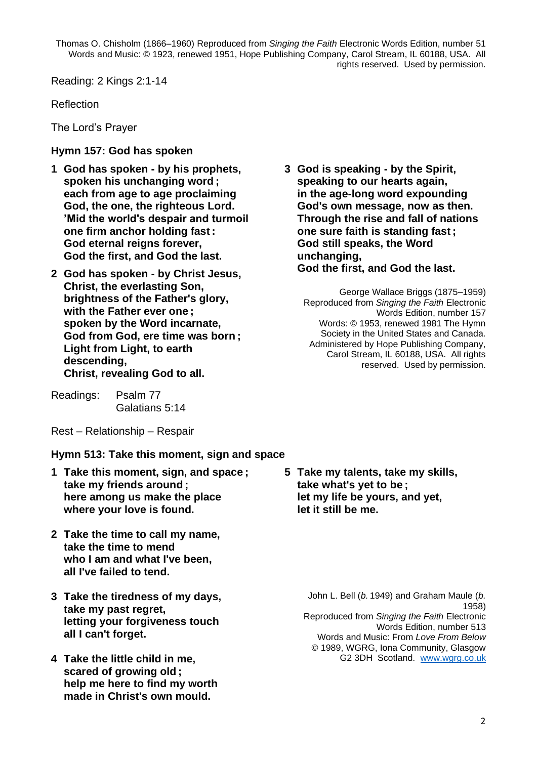Thomas O. Chisholm (1866–1960) Reproduced from *Singing the Faith* Electronic Words Edition, number 51 Words and Music: © 1923, renewed 1951, Hope Publishing Company, Carol Stream, IL 60188, USA. All rights reserved. Used by permission.

Reading: 2 Kings 2:1-14

Reflection

The Lord's Prayer

## **Hymn 157: God has spoken**

- **1 God has spoken - by his prophets, spoken his unchanging word ; each from age to age proclaiming God, the one, the righteous Lord. 'Mid the world's despair and turmoil one firm anchor holding fast : God eternal reigns forever, God the first, and God the last.**
- **2 God has spoken - by Christ Jesus, Christ, the everlasting Son, brightness of the Father's glory, with the Father ever one ; spoken by the Word incarnate, God from God, ere time was born ; Light from Light, to earth descending, Christ, revealing God to all.**
- Readings: Psalm 77 Galatians 5:14

**3 God is speaking - by the Spirit, speaking to our hearts again, in the age-long word expounding God's own message, now as then. Through the rise and fall of nations one sure faith is standing fast ; God still speaks, the Word unchanging, God the first, and God the last.**

George Wallace Briggs (1875–1959) Reproduced from *Singing the Faith* Electronic Words Edition, number 157 Words: © 1953, renewed 1981 The Hymn Society in the United States and Canada. Administered by Hope Publishing Company, Carol Stream, IL 60188, USA. All rights reserved. Used by permission.

Rest – Relationship – Respair

**Hymn 513: Take this moment, sign and space**

- **1 Take this moment, sign, and space ; take my friends around ; here among us make the place where your love is found.**
- **2 Take the time to call my name, take the time to mend who I am and what I've been, all I've failed to tend.**
- **3 Take the tiredness of my days, take my past regret, letting your forgiveness touch all I can't forget.**
- **4 Take the little child in me, scared of growing old ; help me here to find my worth made in Christ's own mould.**

**5 Take my talents, take my skills, take what's yet to be ; let my life be yours, and yet, let it still be me.**

> John L. Bell (*b.*1949) and Graham Maule (*b.* 1958) Reproduced from *Singing the Faith* Electronic Words Edition, number 513 Words and Music: From *Love From Below* © 1989, WGRG, Iona Community, Glasgow G2 3DH Scotland. [www.wgrg.co.uk](http://www.wgrg.co.uk/)